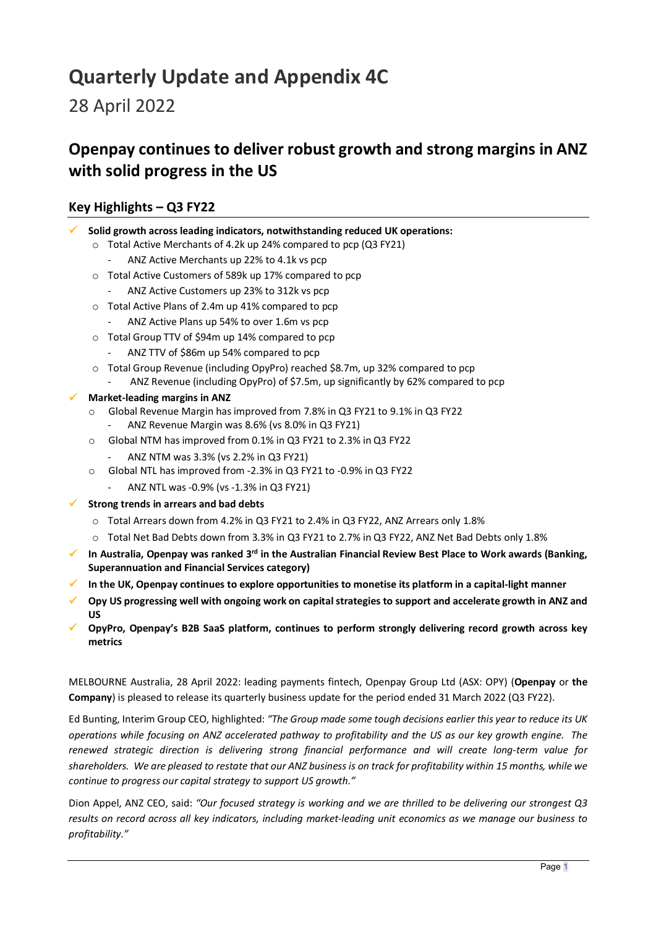# **Quarterly Update and Appendix 4C**

28 April 2022

## **Openpay continues to deliver robust growth and strong margins in ANZ with solid progress in the US**

## **Key Highlights – Q3 FY22**

- **Solid growth across leading indicators, notwithstanding reduced UK operations:** 
	- o Total Active Merchants of 4.2k up 24% compared to pcp (Q3 FY21)
		- ANZ Active Merchants up 22% to 4.1k vs pcp
	- o Total Active Customers of 589k up 17% compared to pcp
		- ANZ Active Customers up 23% to 312k vs pcp
	- o Total Active Plans of 2.4m up 41% compared to pcp
		- ANZ Active Plans up 54% to over 1.6m vs pcp
	- o Total Group TTV of \$94m up 14% compared to pcp
		- ANZ TTV of \$86m up 54% compared to pcp
	- o Total Group Revenue (including OpyPro) reached \$8.7m, up 32% compared to pcp
	- ANZ Revenue (including OpyPro) of \$7.5m, up significantly by 62% compared to pcp

#### **Market-leading margins in ANZ**

- o Global Revenue Margin has improved from 7.8% in Q3 FY21 to 9.1% in Q3 FY22 - ANZ Revenue Margin was 8.6% (vs 8.0% in Q3 FY21)
- o Global NTM has improved from 0.1% in Q3 FY21 to 2.3% in Q3 FY22
	- ANZ NTM was 3.3% (vs 2.2% in Q3 FY21)
- o Global NTL has improved from -2.3% in Q3 FY21 to -0.9% in Q3 FY22
	- ANZ NTL was -0.9% (vs -1.3% in Q3 FY21)
- **Strong trends in arrears and bad debts**
	- o Total Arrears down from 4.2% in Q3 FY21 to 2.4% in Q3 FY22, ANZ Arrears only 1.8%
	- o Total Net Bad Debts down from 3.3% in Q3 FY21 to 2.7% in Q3 FY22, ANZ Net Bad Debts only 1.8%
- **In Australia, Openpay was ranked 3rd in the Australian Financial Review Best Place to Work awards (Banking, Superannuation and Financial Services category)**
- **In the UK, Openpay continues to explore opportunities to monetise its platform in a capital-light manner**
- **Opy US progressing well with ongoing work on capital strategies to support and accelerate growth in ANZ and US**
- **OpyPro, Openpay's B2B SaaS platform, continues to perform strongly delivering record growth across key metrics**

MELBOURNE Australia, 28 April 2022: leading payments fintech, Openpay Group Ltd (ASX: OPY) (**Openpay** or **the Company**) is pleased to release its quarterly business update for the period ended 31 March 2022 (Q3 FY22).

Ed Bunting, Interim Group CEO, highlighted: *"The Group made some tough decisions earlier this year to reduce its UK operations while focusing on ANZ accelerated pathway to profitability and the US as our key growth engine. The renewed strategic direction is delivering strong financial performance and will create long-term value for shareholders. We are pleased to restate that our ANZ business is on track for profitability within 15 months, while we continue to progress our capital strategy to support US growth."* 

Dion Appel, ANZ CEO, said: *"Our focused strategy is working and we are thrilled to be delivering our strongest Q3 results on record across all key indicators, including market-leading unit economics as we manage our business to profitability."*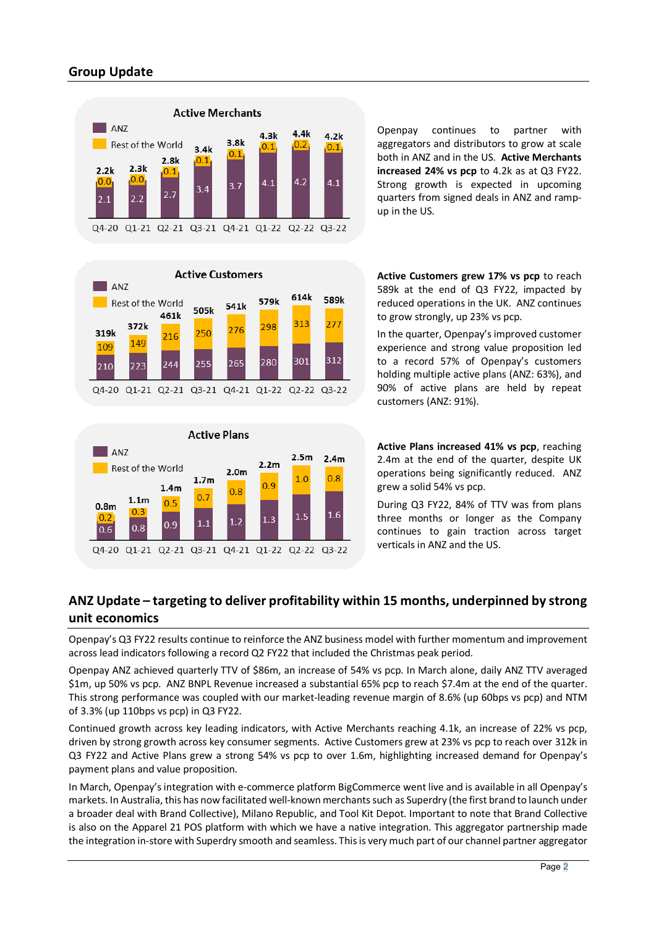## **Group Update**



Openpay continues to partner with aggregators and distributors to grow at scale both in ANZ and in the US. **Active Merchants increased 24% vs pcp** to 4.2k as at Q3 FY22. Strong growth is expected in upcoming quarters from signed deals in ANZ and rampup in the US.





**Active Customers grew 17% vs pcp** to reach 589k at the end of Q3 FY22, impacted by reduced operations in the UK. ANZ continues to grow strongly, up 23% vs pcp.

In the quarter, Openpay's improved customer experience and strong value proposition led to a record 57% of Openpay's customers holding multiple active plans (ANZ: 63%), and 90% of active plans are held by repeat customers (ANZ: 91%).

**Active Plans increased 41% vs pcp**, reaching 2.4m at the end of the quarter, despite UK operations being significantly reduced. ANZ grew a solid 54% vs pcp.

During Q3 FY22, 84% of TTV was from plans three months or longer as the Company continues to gain traction across target verticals in ANZ and the US.

## **ANZ Update – targeting to deliver profitability within 15 months, underpinned by strong unit economics**

Openpay's Q3 FY22 results continue to reinforce the ANZ business model with further momentum and improvement across lead indicators following a record Q2 FY22 that included the Christmas peak period.

Openpay ANZ achieved quarterly TTV of \$86m, an increase of 54% vs pcp. In March alone, daily ANZ TTV averaged \$1m, up 50% vs pcp. ANZ BNPL Revenue increased a substantial 65% pcp to reach \$7.4m at the end of the quarter. This strong performance was coupled with our market-leading revenue margin of 8.6% (up 60bps vs pcp) and NTM of 3.3% (up 110bps vs pcp) in Q3 FY22.

Continued growth across key leading indicators, with Active Merchants reaching 4.1k, an increase of 22% vs pcp, driven by strong growth across key consumer segments. Active Customers grew at 23% vs pcp to reach over 312k in Q3 FY22 and Active Plans grew a strong 54% vs pcp to over 1.6m, highlighting increased demand for Openpay's payment plans and value proposition.

In March, Openpay's integration with e-commerce platform BigCommerce went live and is available in all Openpay's markets. In Australia, this has now facilitated well-known merchants such as Superdry (the first brand to launch under a broader deal with Brand Collective), Milano Republic, and Tool Kit Depot. Important to note that Brand Collective is also on the Apparel 21 POS platform with which we have a native integration. This aggregator partnership made the integration in-store with Superdry smooth and seamless. This is very much part of our channel partner aggregator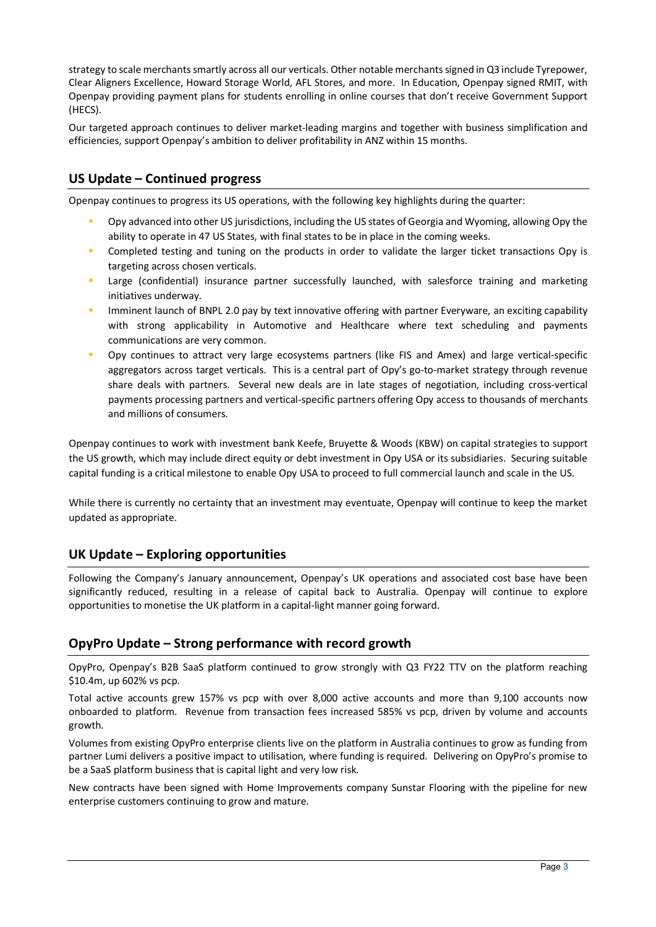strategy to scale merchants smartly across all our verticals. Other notable merchants signed in Q3 include Tyrepower, Clear Aligners Excellence, Howard Storage World, AFL Stores, and more. In Education, Openpay signed RMIT, with Openpay providing payment plans for students enrolling in online courses that don't receive Government Support (HECS).

Our targeted approach continues to deliver market-leading margins and together with business simplification and efficiencies, support Openpay's ambition to deliver profitability in ANZ within 15 months.

### **US Update – Continued progress**

Openpay continues to progress its US operations, with the following key highlights during the quarter:

- Opy advanced into other US jurisdictions, including the US states of Georgia and Wyoming, allowing Opy the ability to operate in 47 US States, with final states to be in place in the coming weeks.
- Completed testing and tuning on the products in order to validate the larger ticket transactions Opy is targeting across chosen verticals.
- Large (confidential) insurance partner successfully launched, with salesforce training and marketing initiatives underway.
- **IMMING 19 Imminent launch of BNPL 2.0 pay by text innovative offering with partner Everyware, an exciting capability** with strong applicability in Automotive and Healthcare where text scheduling and payments communications are very common.
- Opy continues to attract very large ecosystems partners (like FIS and Amex) and large vertical-specific aggregators across target verticals. This is a central part of Opy's go-to-market strategy through revenue share deals with partners. Several new deals are in late stages of negotiation, including cross-vertical payments processing partners and vertical-specific partners offering Opy access to thousands of merchants and millions of consumers.

Openpay continues to work with investment bank Keefe, Bruyette & Woods (KBW) on capital strategies to support the US growth, which may include direct equity or debt investment in Opy USA or its subsidiaries. Securing suitable capital funding is a critical milestone to enable Opy USA to proceed to full commercial launch and scale in the US.

While there is currently no certainty that an investment may eventuate, Openpay will continue to keep the market updated as appropriate.

### **UK Update – Exploring opportunities**

Following the Company's January announcement, Openpay's UK operations and associated cost base have been significantly reduced, resulting in a release of capital back to Australia. Openpay will continue to explore opportunities to monetise the UK platform in a capital-light manner going forward.

### **OpyPro Update – Strong performance with record growth**

OpyPro, Openpay's B2B SaaS platform continued to grow strongly with Q3 FY22 TTV on the platform reaching \$10.4m, up 602% vs pcp.

Total active accounts grew 157% vs pcp with over 8,000 active accounts and more than 9,100 accounts now onboarded to platform. Revenue from transaction fees increased 585% vs pcp, driven by volume and accounts growth.

Volumes from existing OpyPro enterprise clients live on the platform in Australia continues to grow as funding from partner Lumi delivers a positive impact to utilisation, where funding is required. Delivering on OpyPro's promise to be a SaaS platform business that is capital light and very low risk.

New contracts have been signed with Home Improvements company Sunstar Flooring with the pipeline for new enterprise customers continuing to grow and mature.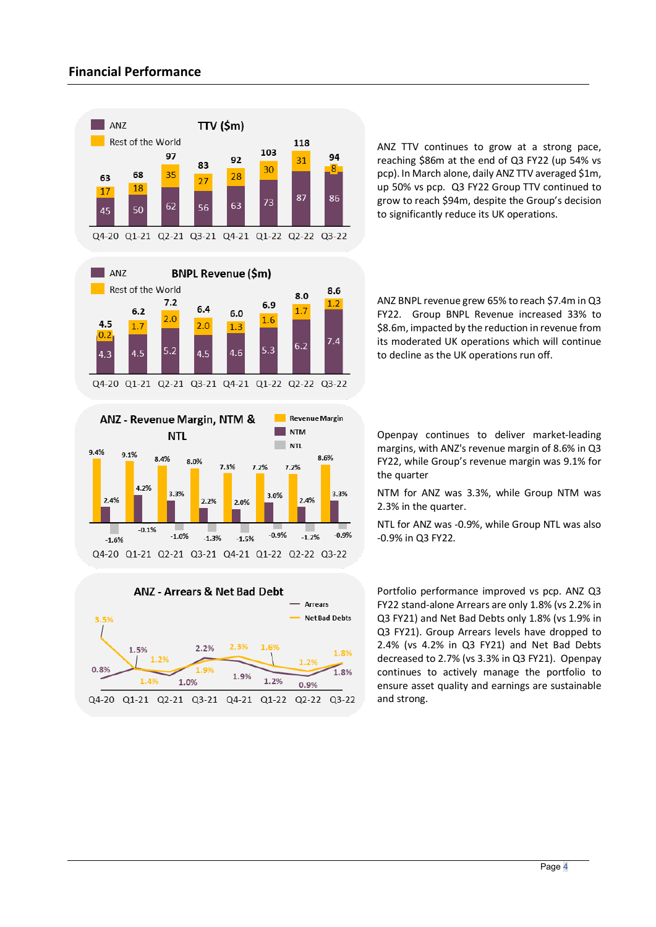

ANZ TTV continues to grow at a strong pace, reaching \$86m at the end of Q3 FY22 (up 54% vs pcp). In March alone, daily ANZ TTV averaged \$1m, up 50% vs pcp. Q3 FY22 Group TTV continued to grow to reach \$94m, despite the Group's decision to significantly reduce its UK operations.

ANZ BNPL revenue grew 65% to reach \$7.4m in Q3 FY22. Group BNPL Revenue increased 33% to \$8.6m, impacted by the reduction in revenue from its moderated UK operations which will continue to decline as the UK operations run off.

Q4-20 Q1-21 Q2-21 Q3-21 Q4-21 Q1-22 02-22 03-22





Openpay continues to deliver market-leading margins, with ANZ's revenue margin of 8.6% in Q3 FY22, while Group's revenue margin was 9.1% for the quarter

NTM for ANZ was 3.3%, while Group NTM was 2.3% in the quarter.

NTL for ANZ was -0.9%, while Group NTL was also -0.9% in Q3 FY22.

Portfolio performance improved vs pcp. ANZ Q3 FY22 stand-alone Arrears are only 1.8% (vs 2.2% in Q3 FY21) and Net Bad Debts only 1.8% (vs 1.9% in Q3 FY21). Group Arrears levels have dropped to 2.4% (vs 4.2% in Q3 FY21) and Net Bad Debts decreased to 2.7% (vs 3.3% in Q3 FY21). Openpay continues to actively manage the portfolio to ensure asset quality and earnings are sustainable and strong.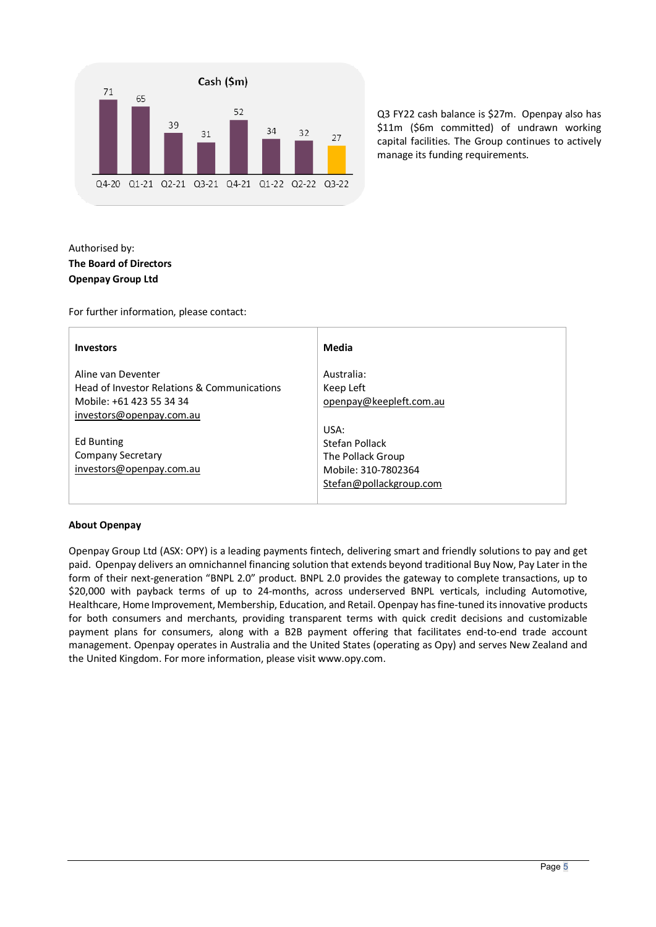

Q3 FY22 cash balance is \$27m. Openpay also has \$11m (\$6m committed) of undrawn working capital facilities. The Group continues to actively manage its funding requirements.

#### Authorised by: **The Board of Directors Openpay Group Ltd**

For further information, please contact:

| <b>Investors</b>                            | Media                   |
|---------------------------------------------|-------------------------|
| Aline van Deventer                          | Australia:              |
| Head of Investor Relations & Communications | Keep Left               |
| Mobile: +61 423 55 34 34                    | openpay@keepleft.com.au |
| investors@openpay.com.au                    |                         |
|                                             | USA:                    |
| Ed Bunting                                  | Stefan Pollack          |
| <b>Company Secretary</b>                    | The Pollack Group       |
| investors@openpay.com.au                    | Mobile: 310-7802364     |
|                                             | Stefan@pollackgroup.com |
|                                             |                         |

#### **About Openpay**

Openpay Group Ltd (ASX: OPY) is a leading payments fintech, delivering smart and friendly solutions to pay and get paid. Openpay delivers an omnichannel financing solution that extends beyond traditional Buy Now, Pay Later in the form of their next-generation "BNPL 2.0" product. BNPL 2.0 provides the gateway to complete transactions, up to \$20,000 with payback terms of up to 24-months, across underserved BNPL verticals, including Automotive, Healthcare, Home Improvement, Membership, Education, and Retail. Openpay has fine-tuned its innovative products for both consumers and merchants, providing transparent terms with quick credit decisions and customizable payment plans for consumers, along with a B2B payment offering that facilitates end-to-end trade account management. Openpay operates in Australia and the United States (operating as Opy) and serves New Zealand and the United Kingdom. For more information, please visit www.opy.com.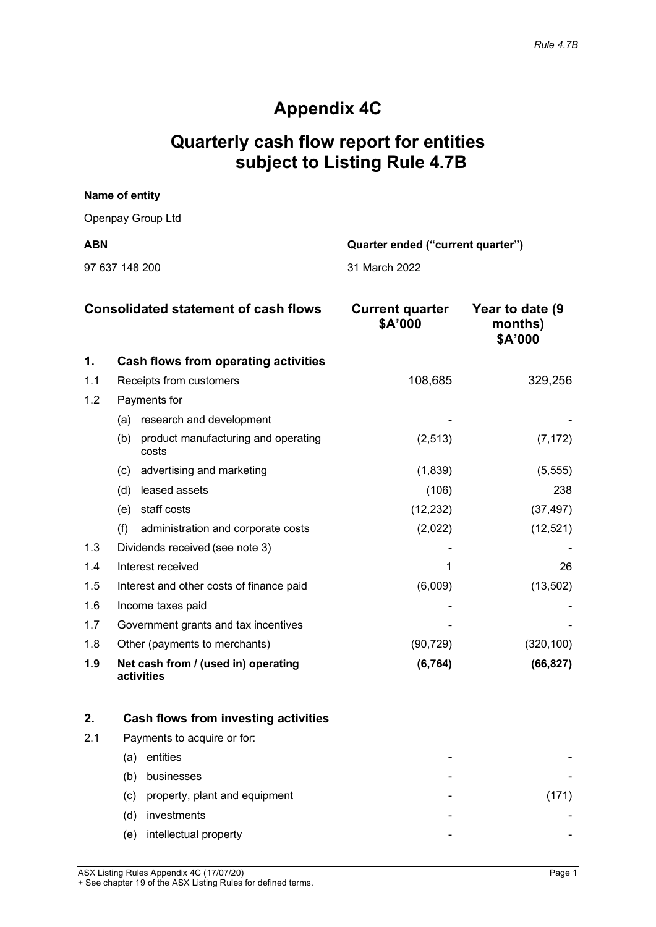## **Appendix 4C**

## **Quarterly cash flow report for entities subject to Listing Rule 4.7B**

# **Name of entity** Openpay Group Ltd **ABN Quarter ended ("current quarter")** 97 637 148 200 31 March 2022

|     | <b>Consolidated statement of cash flows</b>         | <b>Current quarter</b><br>\$A'000 | Year to date (9)<br>months)<br>\$A'000 |
|-----|-----------------------------------------------------|-----------------------------------|----------------------------------------|
| 1.  | Cash flows from operating activities                |                                   |                                        |
| 1.1 | Receipts from customers                             | 108,685                           | 329,256                                |
| 1.2 | Payments for                                        |                                   |                                        |
|     | (a) research and development                        |                                   |                                        |
|     | product manufacturing and operating<br>(b)<br>costs | (2, 513)                          | (7, 172)                               |
|     | advertising and marketing<br>(C)                    | (1,839)                           | (5, 555)                               |
|     | leased assets<br>(d)                                | (106)                             | 238                                    |
|     | staff costs<br>(e)                                  | (12, 232)                         | (37, 497)                              |
|     | (f)<br>administration and corporate costs           | (2,022)                           | (12, 521)                              |
| 1.3 | Dividends received (see note 3)                     |                                   |                                        |
| 1.4 | Interest received                                   |                                   | 26                                     |
| 1.5 | Interest and other costs of finance paid            | (6,009)                           | (13,502)                               |
| 1.6 | Income taxes paid                                   |                                   |                                        |
| 1.7 | Government grants and tax incentives                |                                   |                                        |
| 1.8 | Other (payments to merchants)                       | (90, 729)                         | (320, 100)                             |
| 1.9 | Net cash from / (used in) operating<br>activities   | (6, 764)                          | (66, 827)                              |

|     | Cash flows from investing activities |   |  |
|-----|--------------------------------------|---|--|
| 2.1 | Payments to acquire or for:          |   |  |
|     | entities<br>(a)                      |   |  |
|     | businesses<br>(b)                    |   |  |
|     | property, plant and equipment<br>(C) |   |  |
|     | investments<br>(d)                   | - |  |
|     | intellectual property<br>(e)         | - |  |

ASX Listing Rules Appendix 4C (17/07/20) Page 1 + See chapter 19 of the ASX Listing Rules for defined terms.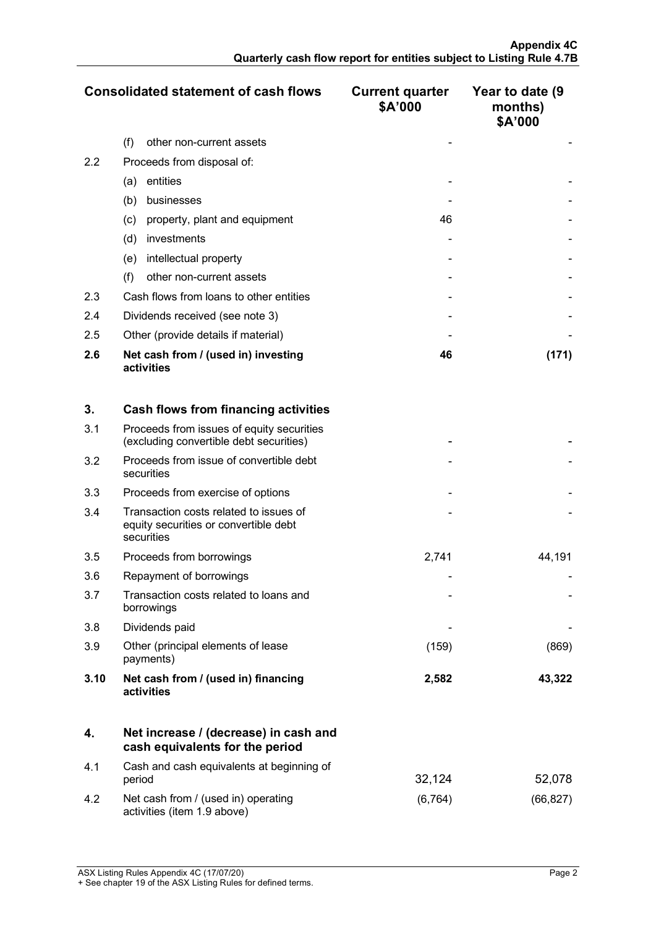|     | <b>Consolidated statement of cash flows</b>       | <b>Current quarter</b><br>\$A'000 | Year to date (9<br>months)<br>\$A'000 |
|-----|---------------------------------------------------|-----------------------------------|---------------------------------------|
|     | (f)<br>other non-current assets                   |                                   |                                       |
| 2.2 | Proceeds from disposal of:                        |                                   |                                       |
|     | entities<br>(a)                                   |                                   |                                       |
|     | (b)<br>businesses                                 |                                   |                                       |
|     | property, plant and equipment<br>(c)              | 46                                |                                       |
|     | investments<br>(d)                                |                                   |                                       |
|     | intellectual property<br>(e)                      |                                   |                                       |
|     | other non-current assets<br>(f)                   |                                   |                                       |
| 2.3 | Cash flows from loans to other entities           |                                   |                                       |
| 2.4 | Dividends received (see note 3)                   |                                   |                                       |
| 2.5 | Other (provide details if material)               |                                   |                                       |
| 2.6 | Net cash from / (used in) investing<br>activities | 46                                | (171)                                 |

| 3.   | Cash flows from financing activities                                                          |       |        |
|------|-----------------------------------------------------------------------------------------------|-------|--------|
| 3.1  | Proceeds from issues of equity securities<br>(excluding convertible debt securities)          |       |        |
| 3.2  | Proceeds from issue of convertible debt<br>securities                                         |       |        |
| 3.3  | Proceeds from exercise of options                                                             |       |        |
| 3.4  | Transaction costs related to issues of<br>equity securities or convertible debt<br>securities |       |        |
| 3.5  | Proceeds from borrowings                                                                      | 2,741 | 44,191 |
| 3.6  | Repayment of borrowings                                                                       |       |        |
| 3.7  | Transaction costs related to loans and<br>borrowings                                          |       |        |
| 3.8  | Dividends paid                                                                                |       |        |
| 3.9  | Other (principal elements of lease<br>payments)                                               | (159) | (869)  |
| 3.10 | Net cash from / (used in) financing<br>activities                                             | 2,582 | 43,322 |

|     | Net increase / (decrease) in cash and<br>cash equivalents for the period |         |          |
|-----|--------------------------------------------------------------------------|---------|----------|
| 4.1 | Cash and cash equivalents at beginning of<br>period                      | 32.124  | 52,078   |
| 4.2 | Net cash from / (used in) operating<br>activities (item 1.9 above)       | (6.764) | (66,827) |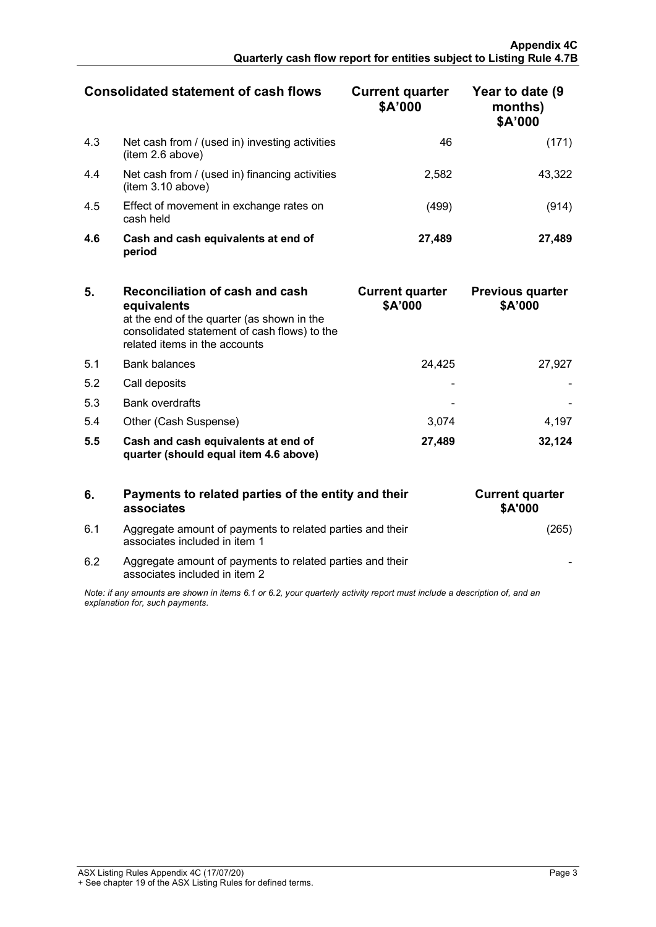|     | <b>Consolidated statement of cash flows</b>                         | <b>Current quarter</b><br>\$A'000 | Year to date (9)<br>months)<br>\$A'000 |
|-----|---------------------------------------------------------------------|-----------------------------------|----------------------------------------|
| 4.3 | Net cash from / (used in) investing activities<br>(item 2.6 above)  | 46                                | (171)                                  |
| 4.4 | Net cash from / (used in) financing activities<br>(item 3.10 above) | 2.582                             | 43.322                                 |
| 4.5 | Effect of movement in exchange rates on<br>cash held                | (499)                             | (914)                                  |
| 4.6 | Cash and cash equivalents at end of<br>period                       | 27.489                            | 27.489                                 |

| 5.  | Reconciliation of cash and cash<br>equivalents<br>at the end of the quarter (as shown in the<br>consolidated statement of cash flows) to the<br>related items in the accounts | <b>Current quarter</b><br>\$A'000 | <b>Previous quarter</b><br>\$A'000 |
|-----|-------------------------------------------------------------------------------------------------------------------------------------------------------------------------------|-----------------------------------|------------------------------------|
| 5.1 | <b>Bank balances</b>                                                                                                                                                          | 24,425                            | 27.927                             |
| 5.2 | Call deposits                                                                                                                                                                 |                                   |                                    |
| 5.3 | <b>Bank overdrafts</b>                                                                                                                                                        |                                   |                                    |
| 5.4 | Other (Cash Suspense)                                                                                                                                                         | 3.074                             | 4.197                              |
| 5.5 | Cash and cash equivalents at end of<br>quarter (should equal item 4.6 above)                                                                                                  | 27,489                            | 32.124                             |

| 6.                                                                                                                                                          | Payments to related parties of the entity and their<br>associates                          | <b>Current quarter</b><br><b>\$A'000</b> |
|-------------------------------------------------------------------------------------------------------------------------------------------------------------|--------------------------------------------------------------------------------------------|------------------------------------------|
| 6.1                                                                                                                                                         | Aggregate amount of payments to related parties and their<br>associates included in item 1 |                                          |
| 62                                                                                                                                                          | Aggregate amount of payments to related parties and their<br>associates included in item 2 |                                          |
| Note: if any amounts are shown in items 6.1 or 6.2, your quarterly activity report must include a description of, and an<br>explanation for, such payments. |                                                                                            |                                          |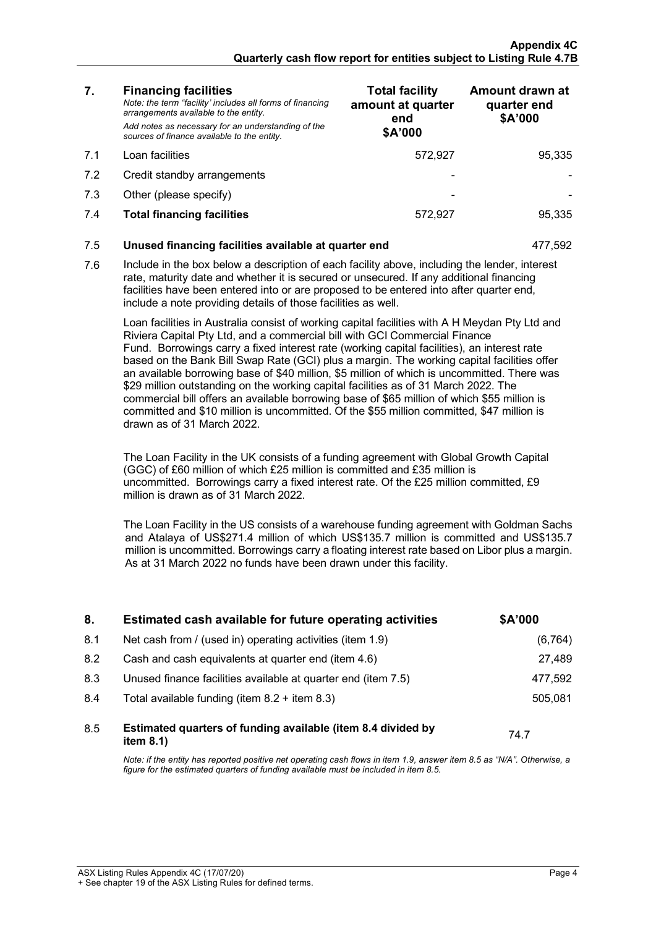| 7.1<br>Loan facilities<br>572,927<br>95,335<br>7.2<br>Credit standby arrangements<br>7.3<br>Other (please specify)<br>7.4<br><b>Total financing facilities</b><br>572,927<br>95,335<br>7.5<br>Unused financing facilities available at quarter end<br>477,592<br>7.6<br>Include in the box below a description of each facility above, including the lender, interest<br>rate, maturity date and whether it is secured or unsecured. If any additional financing<br>facilities have been entered into or are proposed to be entered into after quarter end,<br>include a note providing details of those facilities as well.<br>Loan facilities in Australia consist of working capital facilities with A H Meydan Pty Ltd and<br>Riviera Capital Pty Ltd, and a commercial bill with GCI Commercial Finance<br>Fund. Borrowings carry a fixed interest rate (working capital facilities), an interest rate<br>based on the Bank Bill Swap Rate (GCI) plus a margin. The working capital facilities offer<br>an available borrowing base of \$40 million, \$5 million of which is uncommitted. There was<br>\$29 million outstanding on the working capital facilities as of 31 March 2022. The<br>commercial bill offers an available borrowing base of \$65 million of which \$55 million is<br>committed and \$10 million is uncommitted. Of the \$55 million committed, \$47 million is<br>drawn as of 31 March 2022.<br>The Loan Facility in the UK consists of a funding agreement with Global Growth Capital<br>(GGC) of £60 million of which £25 million is committed and £35 million is<br>uncommitted. Borrowings carry a fixed interest rate. Of the £25 million committed, £9<br>million is drawn as of 31 March 2022.<br>The Loan Facility in the US consists of a warehouse funding agreement with Goldman Sachs<br>and Atalaya of US\$271.4 million of which US\$135.7 million is committed and US\$135.7<br>million is uncommitted. Borrowings carry a floating interest rate based on Libor plus a margin.<br>As at 31 March 2022 no funds have been drawn under this facility.<br>Estimated cash available for future operating activities<br>\$A'000<br>8. | 7. | <b>Financing facilities</b><br>Note: the term "facility' includes all forms of financing<br>arrangements available to the entity.<br>Add notes as necessary for an understanding of the<br>sources of finance available to the entity. | <b>Total facility</b><br>amount at quarter<br>end<br>\$A'000 | Amount drawn at<br>quarter end<br>\$A'000 |
|-------------------------------------------------------------------------------------------------------------------------------------------------------------------------------------------------------------------------------------------------------------------------------------------------------------------------------------------------------------------------------------------------------------------------------------------------------------------------------------------------------------------------------------------------------------------------------------------------------------------------------------------------------------------------------------------------------------------------------------------------------------------------------------------------------------------------------------------------------------------------------------------------------------------------------------------------------------------------------------------------------------------------------------------------------------------------------------------------------------------------------------------------------------------------------------------------------------------------------------------------------------------------------------------------------------------------------------------------------------------------------------------------------------------------------------------------------------------------------------------------------------------------------------------------------------------------------------------------------------------------------------------------------------------------------------------------------------------------------------------------------------------------------------------------------------------------------------------------------------------------------------------------------------------------------------------------------------------------------------------------------------------------------------------------------------------------------------------------------------------------------------------------------------------------------|----|----------------------------------------------------------------------------------------------------------------------------------------------------------------------------------------------------------------------------------------|--------------------------------------------------------------|-------------------------------------------|
|                                                                                                                                                                                                                                                                                                                                                                                                                                                                                                                                                                                                                                                                                                                                                                                                                                                                                                                                                                                                                                                                                                                                                                                                                                                                                                                                                                                                                                                                                                                                                                                                                                                                                                                                                                                                                                                                                                                                                                                                                                                                                                                                                                               |    |                                                                                                                                                                                                                                        |                                                              |                                           |
|                                                                                                                                                                                                                                                                                                                                                                                                                                                                                                                                                                                                                                                                                                                                                                                                                                                                                                                                                                                                                                                                                                                                                                                                                                                                                                                                                                                                                                                                                                                                                                                                                                                                                                                                                                                                                                                                                                                                                                                                                                                                                                                                                                               |    |                                                                                                                                                                                                                                        |                                                              |                                           |
|                                                                                                                                                                                                                                                                                                                                                                                                                                                                                                                                                                                                                                                                                                                                                                                                                                                                                                                                                                                                                                                                                                                                                                                                                                                                                                                                                                                                                                                                                                                                                                                                                                                                                                                                                                                                                                                                                                                                                                                                                                                                                                                                                                               |    |                                                                                                                                                                                                                                        |                                                              |                                           |
|                                                                                                                                                                                                                                                                                                                                                                                                                                                                                                                                                                                                                                                                                                                                                                                                                                                                                                                                                                                                                                                                                                                                                                                                                                                                                                                                                                                                                                                                                                                                                                                                                                                                                                                                                                                                                                                                                                                                                                                                                                                                                                                                                                               |    |                                                                                                                                                                                                                                        |                                                              |                                           |
|                                                                                                                                                                                                                                                                                                                                                                                                                                                                                                                                                                                                                                                                                                                                                                                                                                                                                                                                                                                                                                                                                                                                                                                                                                                                                                                                                                                                                                                                                                                                                                                                                                                                                                                                                                                                                                                                                                                                                                                                                                                                                                                                                                               |    |                                                                                                                                                                                                                                        |                                                              |                                           |
|                                                                                                                                                                                                                                                                                                                                                                                                                                                                                                                                                                                                                                                                                                                                                                                                                                                                                                                                                                                                                                                                                                                                                                                                                                                                                                                                                                                                                                                                                                                                                                                                                                                                                                                                                                                                                                                                                                                                                                                                                                                                                                                                                                               |    |                                                                                                                                                                                                                                        |                                                              |                                           |
|                                                                                                                                                                                                                                                                                                                                                                                                                                                                                                                                                                                                                                                                                                                                                                                                                                                                                                                                                                                                                                                                                                                                                                                                                                                                                                                                                                                                                                                                                                                                                                                                                                                                                                                                                                                                                                                                                                                                                                                                                                                                                                                                                                               |    |                                                                                                                                                                                                                                        |                                                              |                                           |
|                                                                                                                                                                                                                                                                                                                                                                                                                                                                                                                                                                                                                                                                                                                                                                                                                                                                                                                                                                                                                                                                                                                                                                                                                                                                                                                                                                                                                                                                                                                                                                                                                                                                                                                                                                                                                                                                                                                                                                                                                                                                                                                                                                               |    |                                                                                                                                                                                                                                        |                                                              |                                           |
|                                                                                                                                                                                                                                                                                                                                                                                                                                                                                                                                                                                                                                                                                                                                                                                                                                                                                                                                                                                                                                                                                                                                                                                                                                                                                                                                                                                                                                                                                                                                                                                                                                                                                                                                                                                                                                                                                                                                                                                                                                                                                                                                                                               |    |                                                                                                                                                                                                                                        |                                                              |                                           |
|                                                                                                                                                                                                                                                                                                                                                                                                                                                                                                                                                                                                                                                                                                                                                                                                                                                                                                                                                                                                                                                                                                                                                                                                                                                                                                                                                                                                                                                                                                                                                                                                                                                                                                                                                                                                                                                                                                                                                                                                                                                                                                                                                                               |    |                                                                                                                                                                                                                                        |                                                              |                                           |
|                                                                                                                                                                                                                                                                                                                                                                                                                                                                                                                                                                                                                                                                                                                                                                                                                                                                                                                                                                                                                                                                                                                                                                                                                                                                                                                                                                                                                                                                                                                                                                                                                                                                                                                                                                                                                                                                                                                                                                                                                                                                                                                                                                               |    |                                                                                                                                                                                                                                        |                                                              |                                           |

| <b>.</b> | ESUMARA CASH AVANADIC TOI TURN C OPCTARING ACHVILICS                         | YA VVV  |
|----------|------------------------------------------------------------------------------|---------|
| 8.1      | Net cash from / (used in) operating activities (item 1.9)                    | (6,764  |
| 8.2      | Cash and cash equivalents at quarter end (item 4.6)                          | 27,489  |
| 8.3      | Unused finance facilities available at quarter end (item 7.5)                | 477.592 |
| 8.4      | Total available funding (item $8.2 +$ item $8.3$ )                           | 505.081 |
|          |                                                                              |         |
| 8.5      | Estimated quarters of funding available (item 8.4 divided by<br>item $8.1$ ) | 74.7    |
|          |                                                                              |         |

*Note: if the entity has reported positive net operating cash flows in item 1.9, answer item 8.5 as "N/A". Otherwise, a figure for the estimated quarters of funding available must be included in item 8.5.*